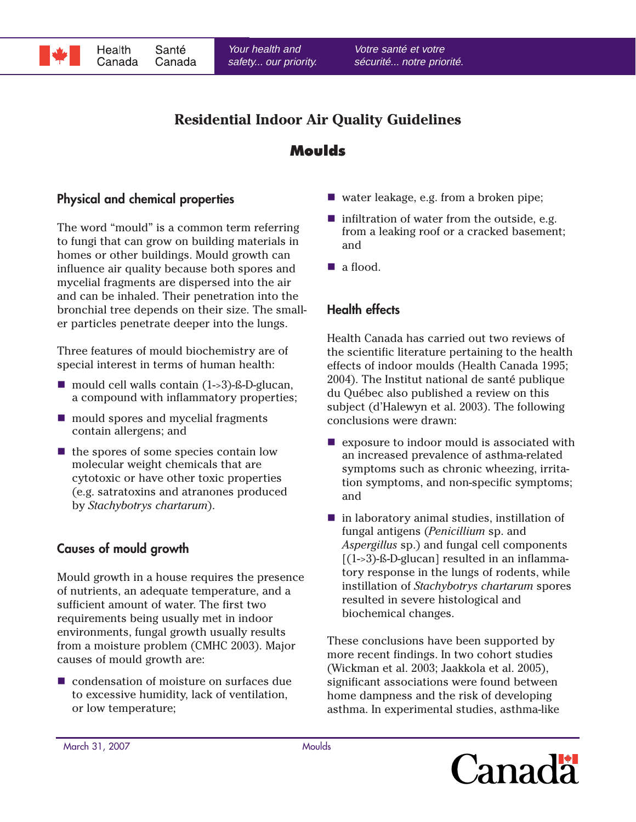

# **Residential Indoor Air Quality Guidelines**

## **Moulds**

### **Physical and chemical properties**

The word "mould" is a common term referring to fungi that can grow on building materials in homes or other buildings. Mould growth can influence air quality because both spores and mycelial fragments are dispersed into the air and can be inhaled. Their penetration into the bronchial tree depends on their size. The smaller particles penetrate deeper into the lungs.

Three features of mould biochemistry are of special interest in terms of human health:

- $\blacksquare$  mould cell walls contain (1->3)-ß-D-glucan, a compound with inflammatory properties;
- mould spores and mycelial fragments contain allergens; and
- $\blacksquare$  the spores of some species contain low molecular weight chemicals that are cytotoxic or have other toxic properties (e.g. satratoxins and atranones produced by *Stachybotrys chartarum*).

#### **Causes of mould growth**

Mould growth in a house requires the presence of nutrients, an adequate temperature, and a sufficient amount of water. The first two requirements being usually met in indoor environments, fungal growth usually results from a moisture problem (CMHC 2003). Major causes of mould growth are:

condensation of moisture on surfaces due to excessive humidity, lack of ventilation, or low temperature;

- water leakage, e.g. from a broken pipe;
- $\blacksquare$  infiltration of water from the outside, e.g. from a leaking roof or a cracked basement; and
- a flood.

## **Health effects**

Health Canada has carried out two reviews of the scientific literature pertaining to the health effects of indoor moulds (Health Canada 1995; 2004). The Institut national de santé publique du Québec also published a review on this subject (d'Halewyn et al. 2003). The following conclusions were drawn:

- $\blacksquare$  exposure to indoor mould is associated with an increased prevalence of asthma-related symptoms such as chronic wheezing, irritation symptoms, and non-specific symptoms; and
- $\blacksquare$  in laboratory animal studies, instillation of fungal antigens (*Penicillium* sp. and *Aspergillus* sp.) and fungal cell components  $[(1-3)$ -ß-D-glucan] resulted in an inflammatory response in the lungs of rodents, while instillation of *Stachybotrys chartarum* spores resulted in severe histological and biochemical changes.

These conclusions have been supported by more recent findings. In two cohort studies (Wickman et al. 2003; Jaakkola et al. 2005), significant associations were found between home dampness and the risk of developing asthma. In experimental studies, asthma-like